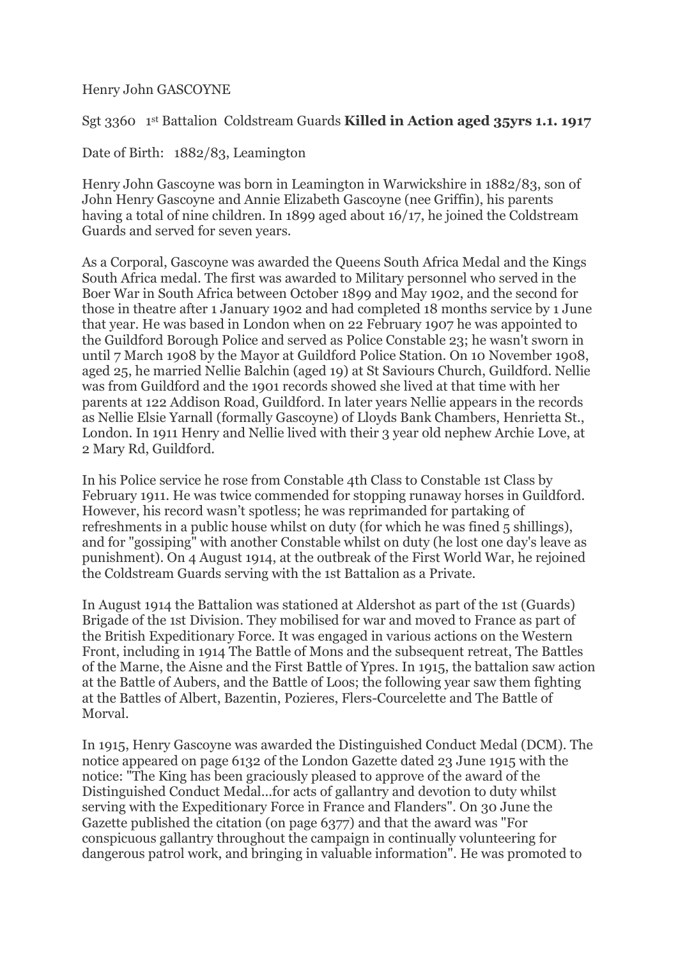Henry John GASCOYNE

Sgt 3360 1<sup>st</sup> Battalion Coldstream Guards **Killed in Action aged 35yrs 1.1. 1917** 

Date of Birth: 1882/83, Leamington

Henry John Gascoyne was born in Leamington in Warwickshire in 1882/83, son of John Henry Gascoyne and Annie Elizabeth Gascoyne (nee Griffin), his parents having a total of nine children. In 1899 aged about 16/17, he joined the Coldstream Guards and served for seven years.

As a Corporal, Gascoyne was awarded the Queens South Africa Medal and the Kings South Africa medal. The first was awarded to Military personnel who served in the Boer War in South Africa between October 1899 and May 1902, and the second for those in theatre after 1 January 1902 and had completed 18 months service by 1 June that year. He was based in London when on 22 February 1907 he was appointed to the Guildford Borough Police and served as Police Constable 23; he wasn't sworn in until 7 March 1908 by the Mayor at Guildford Police Station. On 10 November 1908, aged 25, he married Nellie Balchin (aged 19) at St Saviours Church, Guildford. Nellie was from Guildford and the 1901 records showed she lived at that time with her parents at 122 Addison Road, Guildford. In later years Nellie appears in the records as Nellie Elsie Yarnall (formally Gascoyne) of Lloyds Bank Chambers, Henrietta St., London. In 1911 Henry and Nellie lived with their 3 year old nephew Archie Love, at 2 Mary Rd, Guildford.

In his Police service he rose from Constable 4th Class to Constable 1st Class by February 1911. He was twice commended for stopping runaway horses in Guildford. However, his record wasn't spotless; he was reprimanded for partaking of refreshments in a public house whilst on duty (for which he was fined 5 shillings), and for "gossiping" with another Constable whilst on duty (he lost one day's leave as punishment). On 4 August 1914, at the outbreak of the First World War, he rejoined the Coldstream Guards serving with the 1st Battalion as a Private.

In August 1914 the Battalion was stationed at Aldershot as part of the 1st (Guards) Brigade of the 1st Division. They mobilised for war and moved to France as part of the British Expeditionary Force. It was engaged in various actions on the Western Front, including in 1914 The Battle of Mons and the subsequent retreat, The Battles of the Marne, the Aisne and the First Battle of Ypres. In 1915, the battalion saw action at the Battle of Aubers, and the Battle of Loos; the following year saw them fighting at the Battles of Albert, Bazentin, Pozieres, Flers-Courcelette and The Battle of Morval.

In 1915, Henry Gascoyne was awarded the Distinguished Conduct Medal (DCM). The notice appeared on page 6132 of the London Gazette dated 23 June 1915 with the notice: "The King has been graciously pleased to approve of the award of the Distinguished Conduct Medal...for acts of gallantry and devotion to duty whilst serving with the Expeditionary Force in France and Flanders". On 30 June the Gazette published the citation (on page 6377) and that the award was "For conspicuous gallantry throughout the campaign in continually volunteering for dangerous patrol work, and bringing in valuable information". He was promoted to